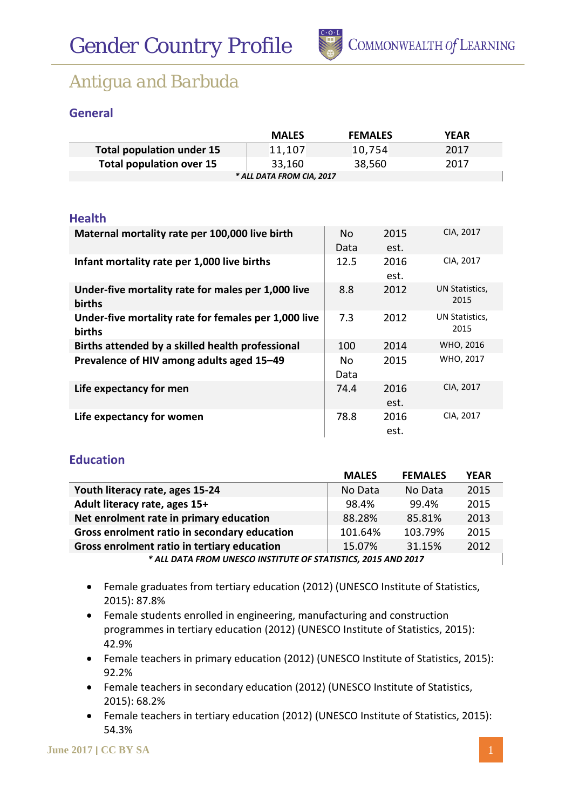



## *Antigua and Barbuda*

#### **General**

|                                 | <b>MALES</b> | <b>FEMALES</b> | <b>YEAR</b> |  |  |
|---------------------------------|--------------|----------------|-------------|--|--|
| Total population under 15       | 11,107       | 10,754         | 2017        |  |  |
| <b>Total population over 15</b> | 33,160       | 38,560         | 2017        |  |  |
| * ALL DATA FROM CIA, 2017       |              |                |             |  |  |

#### **Health**

| N <sub>0</sub> | 2015 | CIA, 2017      |
|----------------|------|----------------|
| Data           | est. |                |
| 12.5           | 2016 | CIA, 2017      |
|                | est. |                |
| 8.8            | 2012 | UN Statistics, |
|                |      | 2015           |
| 7.3            | 2012 | UN Statistics, |
|                |      | 2015           |
| 100            | 2014 | WHO, 2016      |
| No.            | 2015 | WHO, 2017      |
| Data           |      |                |
| 74.4           | 2016 | CIA, 2017      |
|                | est. |                |
| 78.8           | 2016 | CIA, 2017      |
|                | est. |                |
|                |      |                |

#### **Education**

|                                                               | <b>MALES</b> | <b>FEMALES</b> | <b>YEAR</b> |  |  |
|---------------------------------------------------------------|--------------|----------------|-------------|--|--|
| Youth literacy rate, ages 15-24                               | No Data      | No Data        | 2015        |  |  |
| Adult literacy rate, ages 15+                                 | 98.4%        | 99.4%          | 2015        |  |  |
| Net enrolment rate in primary education                       | 88.28%       | 85.81%         | 2013        |  |  |
| Gross enrolment ratio in secondary education                  | 101.64%      | 103.79%        | 2015        |  |  |
| Gross enrolment ratio in tertiary education                   | 15.07%       | 31.15%         | 2012        |  |  |
| * ALL DATA FROM UNESCO INSTITUTE OF STATISTICS, 2015 AND 2017 |              |                |             |  |  |

- Female graduates from tertiary education (2012) (UNESCO Institute of Statistics, 2015): 87.8%
- Female students enrolled in engineering, manufacturing and construction programmes in tertiary education (2012) (UNESCO Institute of Statistics, 2015): 42.9%
- Female teachers in primary education (2012) (UNESCO Institute of Statistics, 2015): 92.2%
- Female teachers in secondary education (2012) (UNESCO Institute of Statistics, 2015): 68.2%
- Female teachers in tertiary education (2012) (UNESCO Institute of Statistics, 2015): 54.3%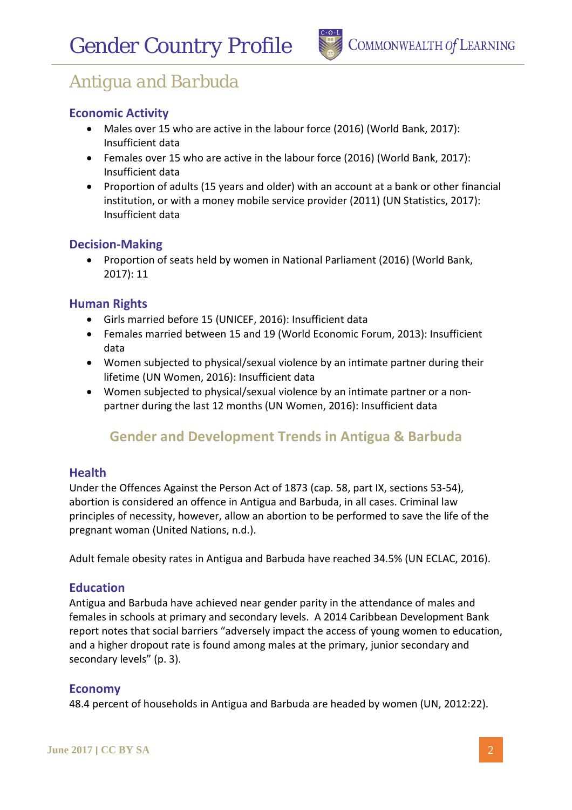

## *Antigua and Barbuda*

#### **Economic Activity**

- Males over 15 who are active in the labour force (2016) (World Bank, 2017): Insufficient data
- Females over 15 who are active in the labour force (2016) (World Bank, 2017): Insufficient data
- Proportion of adults (15 years and older) with an account at a bank or other financial institution, or with a money mobile service provider (2011) (UN Statistics, 2017): Insufficient data

#### **Decision-Making**

• Proportion of seats held by women in National Parliament (2016) (World Bank, 2017): 11

#### **Human Rights**

- Girls married before 15 (UNICEF, 2016): Insufficient data
- Females married between 15 and 19 (World Economic Forum, 2013): Insufficient data
- Women subjected to physical/sexual violence by an intimate partner during their lifetime (UN Women, 2016): Insufficient data
- Women subjected to physical/sexual violence by an intimate partner or a nonpartner during the last 12 months (UN Women, 2016): Insufficient data

### **Gender and Development Trends in Antigua & Barbuda**

#### **Health**

Under the Offences Against the Person Act of 1873 (cap. 58, part IX, sections 53-54), abortion is considered an offence in Antigua and Barbuda, in all cases. Criminal law principles of necessity, however, allow an abortion to be performed to save the life of the pregnant woman (United Nations, n.d.).

Adult female obesity rates in Antigua and Barbuda have reached 34.5% (UN ECLAC, 2016).

#### **Education**

Antigua and Barbuda have achieved near gender parity in the attendance of males and females in schools at primary and secondary levels. A 2014 Caribbean Development Bank report notes that social barriers "adversely impact the access of young women to education, and a higher dropout rate is found among males at the primary, junior secondary and secondary levels" (p. 3).

#### **Economy**

48.4 percent of households in Antigua and Barbuda are headed by women (UN, 2012:22).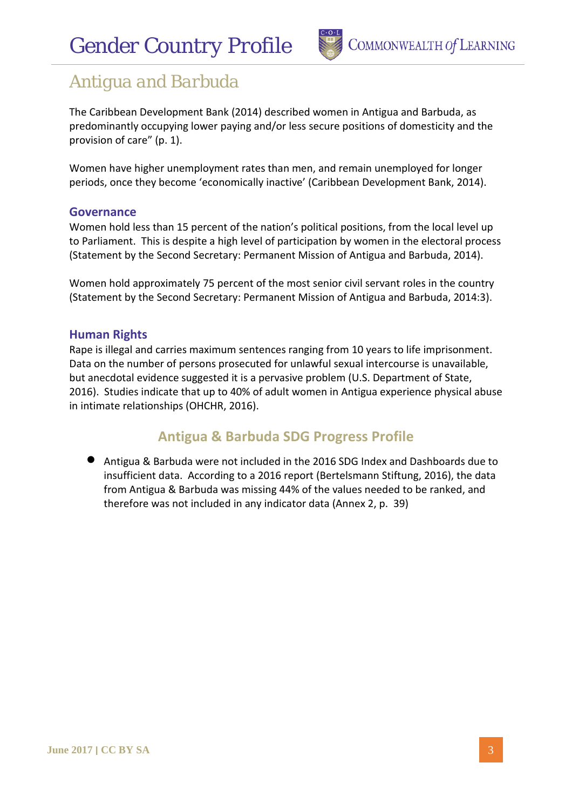

## *Antigua and Barbuda*

The Caribbean Development Bank (2014) described women in Antigua and Barbuda, as predominantly occupying lower paying and/or less secure positions of domesticity and the provision of care" (p. 1).

Women have higher unemployment rates than men, and remain unemployed for longer periods, once they become 'economically inactive' (Caribbean Development Bank, 2014).

#### **Governance**

Women hold less than 15 percent of the nation's political positions, from the local level up to Parliament. This is despite a high level of participation by women in the electoral process (Statement by the Second Secretary: Permanent Mission of Antigua and Barbuda, 2014).

Women hold approximately 75 percent of the most senior civil servant roles in the country (Statement by the Second Secretary: Permanent Mission of Antigua and Barbuda, 2014:3).

#### **Human Rights**

Rape is illegal and carries maximum sentences ranging from 10 years to life imprisonment. Data on the number of persons prosecuted for unlawful sexual intercourse is unavailable, but anecdotal evidence suggested it is a pervasive problem (U.S. Department of State, 2016). Studies indicate that up to 40% of adult women in Antigua experience physical abuse in intimate relationships (OHCHR, 2016).

### **Antigua & Barbuda SDG Progress Profile**

• Antigua & Barbuda were not included in the 2016 SDG Index and Dashboards due to insufficient data. According to a 2016 report (Bertelsmann Stiftung, 2016), the data from Antigua & Barbuda was missing 44% of the values needed to be ranked, and therefore was not included in any indicator data (Annex 2, p. 39)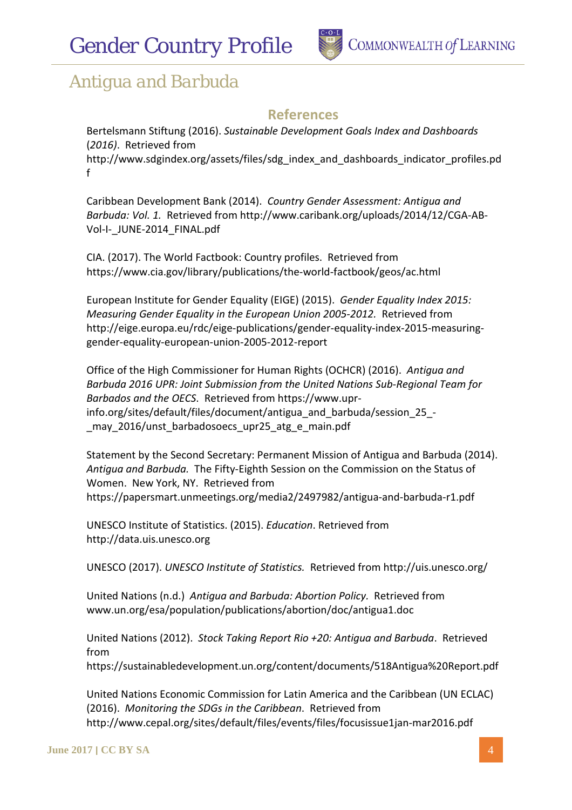

### *Antigua and Barbuda*

#### **References**

Bertelsmann Stiftung (2016). *Sustainable Development Goals Index and Dashboards* (*2016)*. Retrieved from http://www.sdgindex.org/assets/files/sdg\_index\_and\_dashboards\_indicator\_profiles.pd f

Caribbean Development Bank (2014). *Country Gender Assessment: Antigua and Barbuda: Vol. 1.* Retrieved from http://www.caribank.org/uploads/2014/12/CGA-AB-Vol-I- JUNE-2014 FINAL.pdf

CIA. (2017). The World Factbook: Country profiles. Retrieved from https://www.cia.gov/library/publications/the-world-factbook/geos/ac.html

European Institute for Gender Equality (EIGE) (2015). *Gender Equality Index 2015: Measuring Gender Equality in the European Union 2005-2012.* Retrieved from http://eige.europa.eu/rdc/eige-publications/gender-equality-index-2015-measuringgender-equality-european-union-2005-2012-report

Office of the High Commissioner for Human Rights (OCHCR) (2016). *Antigua and Barbuda 2016 UPR: Joint Submission from the United Nations Sub-Regional Team for Barbados and the OECS*. Retrieved from https://www.uprinfo.org/sites/default/files/document/antigua\_and\_barbuda/session\_25\_-\_may\_2016/unst\_barbadosoecs\_upr25\_atg\_e\_main.pdf

Statement by the Second Secretary: Permanent Mission of Antigua and Barbuda (2014). *Antigua and Barbuda.* The Fifty-Eighth Session on the Commission on the Status of Women. New York, NY. Retrieved from https://papersmart.unmeetings.org/media2/2497982/antigua-and-barbuda-r1.pdf

UNESCO Institute of Statistics. (2015). *Education*. Retrieved from http://data.uis.unesco.org

UNESCO (2017). *UNESCO Institute of Statistics.* Retrieved from http://uis.unesco.org/

United Nations (n.d.) *Antigua and Barbuda: Abortion Policy.* Retrieved from www.un.org/esa/population/publications/abortion/doc/antigua1.doc

United Nations (2012). *Stock Taking Report Rio +20: Antigua and Barbuda*. Retrieved from https://sustainabledevelopment.un.org/content/documents/518Antigua%20Report.pdf

United Nations Economic Commission for Latin America and the Caribbean (UN ECLAC) (2016). *Monitoring the SDGs in the Caribbean*. Retrieved from http://www.cepal.org/sites/default/files/events/files/focusissue1jan-mar2016.pdf